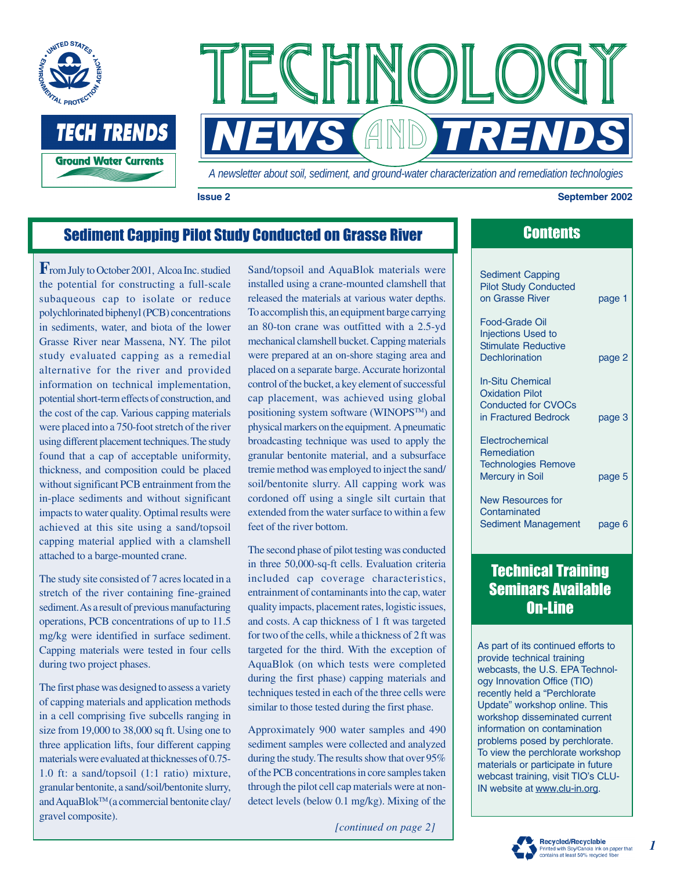



#### **Issue 2 September 2002**

### Sediment Capping Pilot Study Conducted on Grasse River

**F**rom July to October 2001, Alcoa Inc. studied the potential for constructing a full-scale subaqueous cap to isolate or reduce polychlorinated biphenyl (PCB) concentrations in sediments, water, and biota of the lower Grasse River near Massena, NY. The pilot study evaluated capping as a remedial alternative for the river and provided information on technical implementation, potential short-term effects of construction, and the cost of the cap. Various capping materials were placed into a 750-foot stretch of the river using different placement techniques. The study found that a cap of acceptable uniformity, thickness, and composition could be placed without significant PCB entrainment from the in-place sediments and without significant impacts to water quality. Optimal results were achieved at this site using a sand/topsoil capping material applied with a clamshell attached to a barge-mounted crane.

The study site consisted of 7 acres located in a stretch of the river containing fine-grained sediment. As a result of previous manufacturing operations, PCB concentrations of up to 11.5 mg/kg were identified in surface sediment. Capping materials were tested in four cells during two project phases.

The first phase was designed to assess a variety of capping materials and application methods in a cell comprising five subcells ranging in size from 19,000 to 38,000 sq ft. Using one to three application lifts, four different capping materials were evaluated at thicknesses of 0.75- 1.0 ft: a sand/topsoil (1:1 ratio) mixture, granular bentonite, a sand/soil/bentonite slurry, and AquaBlok™ (a commercial bentonite clay/ gravel composite).

Sand/topsoil and AquaBlok materials were installed using a crane-mounted clamshell that released the materials at various water depths. To accomplish this, an equipment barge carrying an 80-ton crane was outfitted with a 2.5-yd mechanical clamshell bucket. Capping materials were prepared at an on-shore staging area and placed on a separate barge. Accurate horizontal control of the bucket, a key element of successful cap placement, was achieved using global positioning system software (WINOPSTM) and physical markers on the equipment. A pneumatic broadcasting technique was used to apply the granular bentonite material, and a subsurface tremie method was employed to inject the sand/ soil/bentonite slurry. All capping work was cordoned off using a single silt curtain that extended from the water surface to within a few feet of the river bottom.

The second phase of pilot testing was conducted in three 50,000-sq-ft cells. Evaluation criteria included cap coverage characteristics, entrainment of contaminants into the cap, water quality impacts, placement rates, logistic issues, and costs. A cap thickness of 1 ft was targeted for two of the cells, while a thickness of 2 ft was targeted for the third. With the exception of AquaBlok (on which tests were completed during the first phase) capping materials and techniques tested in each of the three cells were similar to those tested during the first phase.

Approximately 900 water samples and 490 sediment samples were collected and analyzed during the study. The results show that over 95% of the PCB concentrations in core samples taken through the pilot cell cap materials were at nondetect levels (below 0.1 mg/kg). Mixing of the

*[continued on page 2]*

# **Contents**

| <b>Sediment Capping</b><br><b>Pilot Study Conducted</b><br>on Grasse River                              | page 1 |
|---------------------------------------------------------------------------------------------------------|--------|
| Food-Grade Oil<br><b>Injections Used to</b><br><b>Stimulate Reductive</b><br>Dechlorination             | page 2 |
| <b>In-Situ Chemical</b><br><b>Oxidation Pilot</b><br><b>Conducted for CVOCs</b><br>in Fractured Bedrock | page 3 |
| Electrochemical<br><b>Remediation</b><br><b>Technologies Remove</b><br><b>Mercury in Soil</b>           | page 5 |
| <b>New Resources for</b><br>Contaminated<br>Sediment Management                                         | page 6 |

## Technical Training Seminars Available On-Line

As part of its continued efforts to provide technical training webcasts, the U.S. EPA Technology Innovation Office (TIO) recently held a "Perchlorate Update" workshop online. This workshop disseminated current information on contamination problems posed by perchlorate. To view the perchlorate workshop materials or participate in future webcast training, visit TIO's CLU-IN website at www.clu-in.org.



*1*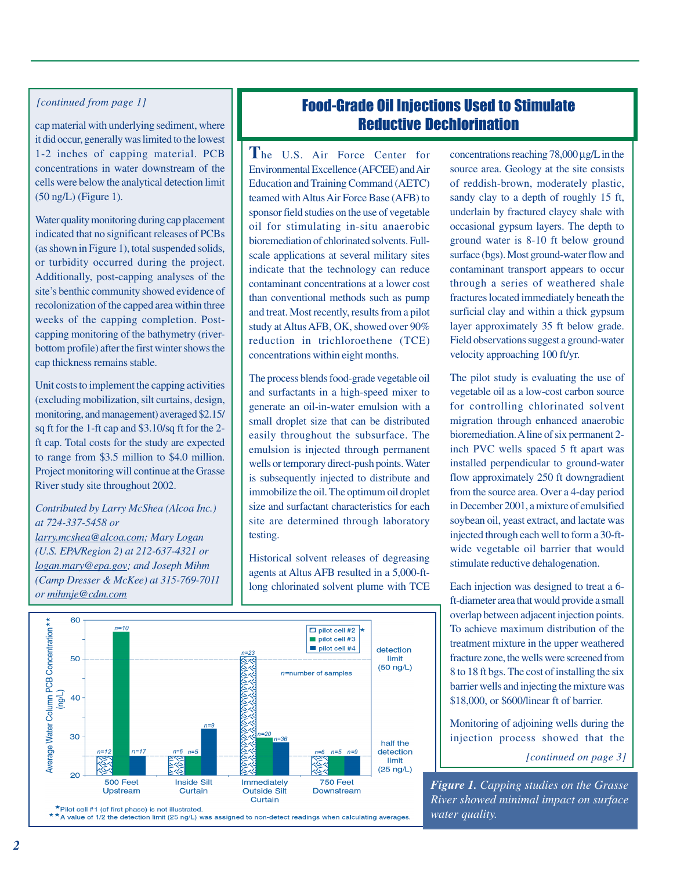### *[continued from page 1]*

cap material with underlying sediment, where it did occur, generally was limited to the lowest 1-2 inches of capping material. PCB concentrations in water downstream of the cells were below the analytical detection limit (50 ng/L) (Figure 1).

Water quality monitoring during cap placement indicated that no significant releases of PCBs (as shown in Figure 1), total suspended solids, or turbidity occurred during the project. Additionally, post-capping analyses of the site's benthic community showed evidence of recolonization of the capped area within three weeks of the capping completion. Postcapping monitoring of the bathymetry (riverbottom profile) after the first winter shows the cap thickness remains stable.

Unit costs to implement the capping activities (excluding mobilization, silt curtains, design, monitoring, and management) averaged \$2.15/ sq ft for the 1-ft cap and \$3.10/sq ft for the 2 ft cap. Total costs for the study are expected to range from \$3.5 million to \$4.0 million. Project monitoring will continue at the Grasse River study site throughout 2002.

### *Contributed by Larry McShea (Alcoa Inc.) at 724-337-5458 or*

*larry.mcshea@alcoa.com; Mary Logan (U.S. EPA/Region 2) at 212-637-4321 or logan.mary@epa.gov; and Joseph Mihm (Camp Dresser & McKee) at 315-769-7011 or mihmje@cdm.com*

## Food-Grade Oil Injections Used to Stimulate Reductive Dechlorination

**T**he U.S. Air Force Center for Environmental Excellence (AFCEE) and Air Education and Training Command (AETC) teamed with Altus Air Force Base (AFB) to sponsor field studies on the use of vegetable oil for stimulating in-situ anaerobic bioremediation of chlorinated solvents. Fullscale applications at several military sites indicate that the technology can reduce contaminant concentrations at a lower cost than conventional methods such as pump and treat. Most recently, results from a pilot study at Altus AFB, OK, showed over 90% reduction in trichloroethene (TCE) concentrations within eight months.

The process blends food-grade vegetable oil and surfactants in a high-speed mixer to generate an oil-in-water emulsion with a small droplet size that can be distributed easily throughout the subsurface. The emulsion is injected through permanent wells or temporary direct-push points. Water is subsequently injected to distribute and immobilize the oil. The optimum oil droplet size and surfactant characteristics for each site are determined through laboratory testing.

Historical solvent releases of degreasing agents at Altus AFB resulted in a 5,000-ftlong chlorinated solvent plume with TCE



The pilot study is evaluating the use of vegetable oil as a low-cost carbon source for controlling chlorinated solvent migration through enhanced anaerobic bioremediation. A line of six permanent 2 inch PVC wells spaced 5 ft apart was installed perpendicular to ground-water flow approximately 250 ft downgradient from the source area. Over a 4-day period in December 2001, a mixture of emulsified soybean oil, yeast extract, and lactate was injected through each well to form a 30-ftwide vegetable oil barrier that would stimulate reductive dehalogenation.

Each injection was designed to treat a 6 ft-diameter area that would provide a small overlap between adjacent injection points. To achieve maximum distribution of the treatment mixture in the upper weathered fracture zone, the wells were screened from 8 to 18 ft bgs. The cost of installing the six barrier wells and injecting the mixture was \$18,000, or \$600/linear ft of barrier.

Monitoring of adjoining wells during the injection process showed that the

*[continued on page 3]*

*Figure 1. Capping studies on the Grasse River showed minimal impact on surface water quality.*



\*Pilot cell #1 (of first phase) is not illustrated. \* \* A value of 1/2 the detection limit (25 ng/L) was assigned to non-detect readings when calculating averages.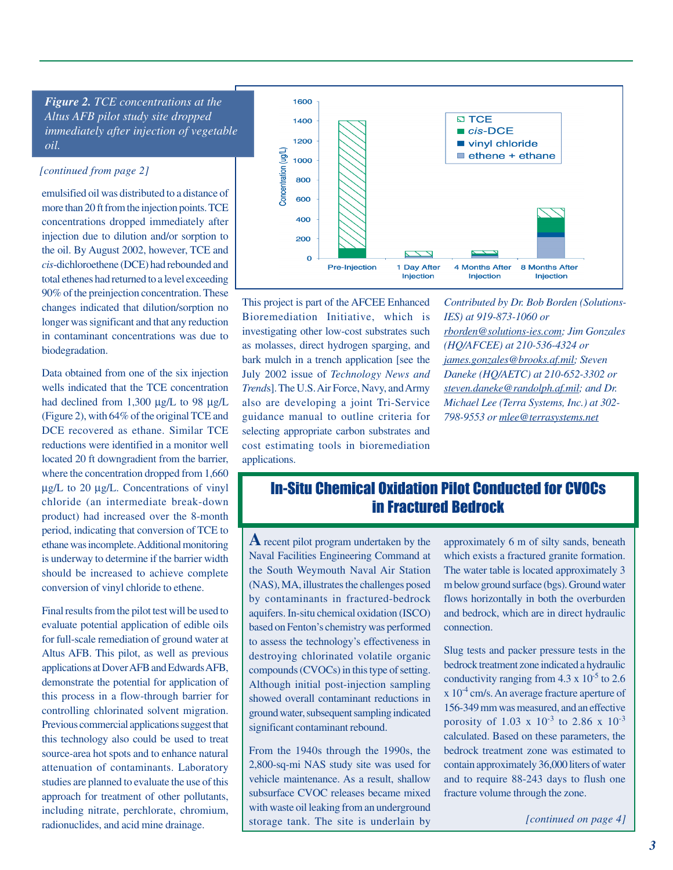*Figure 2. TCE concentrations at the Altus AFB pilot study site dropped immediately after injection of vegetable oil.*

#### *[continued from page 2]*

emulsified oil was distributed to a distance of more than 20 ft from the injection points. TCE concentrations dropped immediately after injection due to dilution and/or sorption to the oil. By August 2002, however, TCE and *cis*-dichloroethene (DCE) had rebounded and total ethenes had returned to a level exceeding 90% of the preinjection concentration. These changes indicated that dilution/sorption no longer was significant and that any reduction in contaminant concentrations was due to biodegradation.

Data obtained from one of the six injection wells indicated that the TCE concentration had declined from 1,300  $\mu$ g/L to 98  $\mu$ g/L (Figure 2), with 64% of the original TCE and DCE recovered as ethane. Similar TCE reductions were identified in a monitor well located 20 ft downgradient from the barrier, where the concentration dropped from 1,660 µg/L to 20 µg/L. Concentrations of vinyl chloride (an intermediate break-down product) had increased over the 8-month period, indicating that conversion of TCE to ethane was incomplete. Additional monitoring is underway to determine if the barrier width should be increased to achieve complete conversion of vinyl chloride to ethene.

Final results from the pilot test will be used to evaluate potential application of edible oils for full-scale remediation of ground water at Altus AFB. This pilot, as well as previous applications at Dover AFB and Edwards AFB, demonstrate the potential for application of this process in a flow-through barrier for controlling chlorinated solvent migration. Previous commercial applications suggest that this technology also could be used to treat source-area hot spots and to enhance natural attenuation of contaminants. Laboratory studies are planned to evaluate the use of this approach for treatment of other pollutants, including nitrate, perchlorate, chromium, radionuclides, and acid mine drainage.



This project is part of the AFCEE Enhanced Bioremediation Initiative, which is investigating other low-cost substrates such as molasses, direct hydrogen sparging, and bark mulch in a trench application [see the July 2002 issue of *Technology News and Trend*s]. The U.S. Air Force, Navy, and Army also are developing a joint Tri-Service guidance manual to outline criteria for selecting appropriate carbon substrates and cost estimating tools in bioremediation applications.

*Contributed by Dr. Bob Borden (Solutions-IES) at 919-873-1060 or rborden@solutions-ies.com; Jim Gonzales (HQ/AFCEE) at 210-536-4324 or james.gonzales@brooks.af.mil; Steven Daneke (HQ/AETC) at 210-652-3302 or steven.daneke@randolph.af.mil; and Dr. Michael Lee (Terra Systems, Inc.) at 302- 798-9553 or mlee@terrasystems.net*

## In-Situ Chemical Oxidation Pilot Conducted for CVOCs in Fractured Bedrock

**A** recent pilot program undertaken by the Naval Facilities Engineering Command at the South Weymouth Naval Air Station (NAS), MA, illustrates the challenges posed by contaminants in fractured-bedrock aquifers. In-situ chemical oxidation (ISCO) based on Fenton's chemistry was performed to assess the technology's effectiveness in destroying chlorinated volatile organic compounds (CVOCs) in this type of setting. Although initial post-injection sampling showed overall contaminant reductions in ground water, subsequent sampling indicated significant contaminant rebound.

From the 1940s through the 1990s, the 2,800-sq-mi NAS study site was used for vehicle maintenance. As a result, shallow subsurface CVOC releases became mixed with waste oil leaking from an underground storage tank. The site is underlain by

approximately 6 m of silty sands, beneath which exists a fractured granite formation. The water table is located approximately 3 m below ground surface (bgs). Ground water flows horizontally in both the overburden and bedrock, which are in direct hydraulic connection.

Slug tests and packer pressure tests in the bedrock treatment zone indicated a hydraulic conductivity ranging from  $4.3 \times 10^{-5}$  to 2.6  $x 10^{-4}$  cm/s. An average fracture aperture of 156-349 mm was measured, and an effective porosity of 1.03 x  $10^{-3}$  to 2.86 x  $10^{-3}$ calculated. Based on these parameters, the bedrock treatment zone was estimated to contain approximately 36,000 liters of water and to require 88-243 days to flush one fracture volume through the zone.

*[continued on page 4]*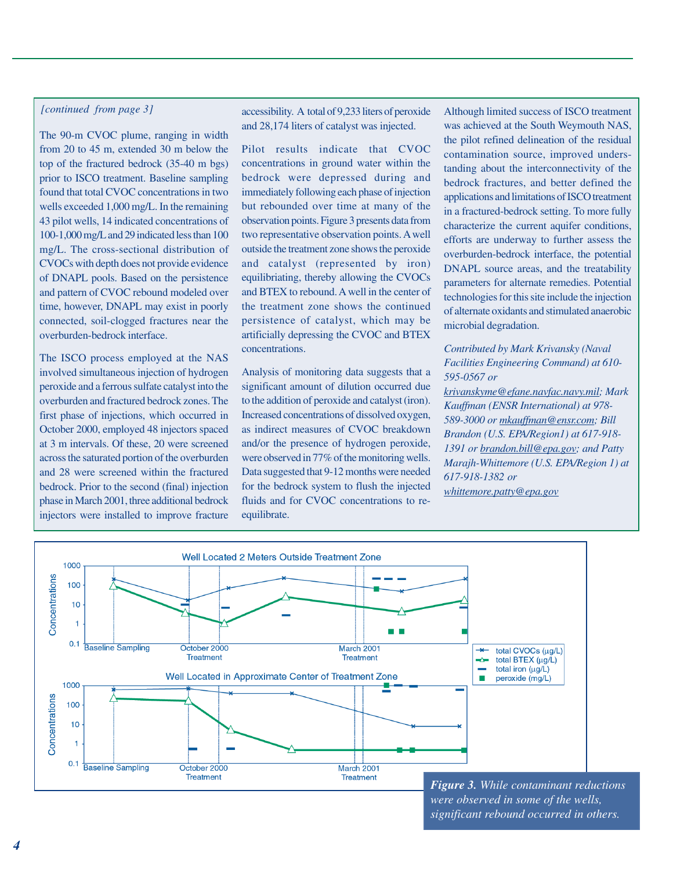#### *[continued from page 3]*

The 90-m CVOC plume, ranging in width from 20 to 45 m, extended 30 m below the top of the fractured bedrock (35-40 m bgs) prior to ISCO treatment. Baseline sampling found that total CVOC concentrations in two wells exceeded 1,000 mg/L. In the remaining 43 pilot wells, 14 indicated concentrations of 100-1,000 mg/L and 29 indicated less than 100 mg/L. The cross-sectional distribution of CVOCs with depth does not provide evidence of DNAPL pools. Based on the persistence and pattern of CVOC rebound modeled over time, however, DNAPL may exist in poorly connected, soil-clogged fractures near the overburden-bedrock interface.

The ISCO process employed at the NAS involved simultaneous injection of hydrogen peroxide and a ferrous sulfate catalyst into the overburden and fractured bedrock zones. The first phase of injections, which occurred in October 2000, employed 48 injectors spaced at 3 m intervals. Of these, 20 were screened across the saturated portion of the overburden and 28 were screened within the fractured bedrock. Prior to the second (final) injection phase in March 2001, three additional bedrock injectors were installed to improve fracture

accessibility. A total of 9,233 liters of peroxide and 28,174 liters of catalyst was injected.

Pilot results indicate that CVOC concentrations in ground water within the bedrock were depressed during and immediately following each phase of injection but rebounded over time at many of the observation points. Figure 3 presents data from two representative observation points. A well outside the treatment zone shows the peroxide and catalyst (represented by iron) equilibriating, thereby allowing the CVOCs and BTEX to rebound. A well in the center of the treatment zone shows the continued persistence of catalyst, which may be artificially depressing the CVOC and BTEX concentrations.

Analysis of monitoring data suggests that a significant amount of dilution occurred due to the addition of peroxide and catalyst (iron). Increased concentrations of dissolved oxygen, as indirect measures of CVOC breakdown and/or the presence of hydrogen peroxide, were observed in 77% of the monitoring wells. Data suggested that 9-12 months were needed for the bedrock system to flush the injected fluids and for CVOC concentrations to reequilibrate.

Although limited success of ISCO treatment was achieved at the South Weymouth NAS, the pilot refined delineation of the residual contamination source, improved understanding about the interconnectivity of the bedrock fractures, and better defined the applications and limitations of ISCO treatment in a fractured-bedrock setting. To more fully characterize the current aquifer conditions, efforts are underway to further assess the overburden-bedrock interface, the potential DNAPL source areas, and the treatability parameters for alternate remedies. Potential technologies for this site include the injection of alternate oxidants and stimulated anaerobic microbial degradation.

#### *Contributed by Mark Krivansky (Naval Facilities Engineering Command) at 610- 595-0567 or*

*krivanskyme@efane.navfac.navy.mil; Mark Kauffman (ENSR International) at 978- 589-3000 or mkauffman@ensr.com; Bill Brandon (U.S. EPA/Region1) at 617-918- 1391 or brandon.bill@epa.gov; and Patty Marajh-Whittemore (U.S. EPA/Region 1) at 617-918-1382 or whittemore.patty@epa.gov*



*were observed in some of the wells, significant rebound occurred in others.*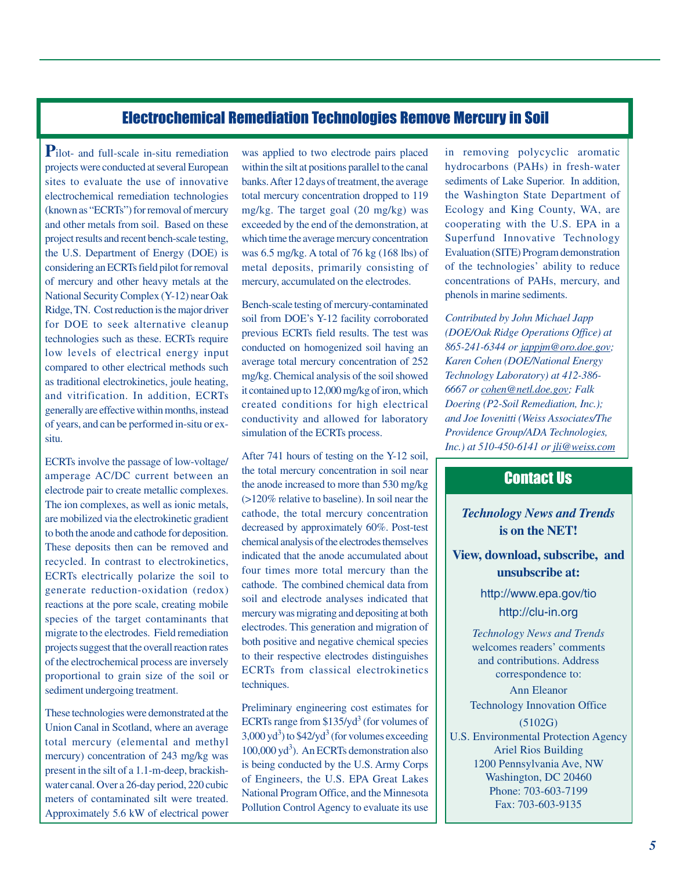### Electrochemical Remediation Technologies Remove Mercury in Soil

**P**ilot- and full-scale in-situ remediation projects were conducted at several European sites to evaluate the use of innovative electrochemical remediation technologies (known as "ECRTs") for removal of mercury and other metals from soil. Based on these project results and recent bench-scale testing, the U.S. Department of Energy (DOE) is considering an ECRTs field pilot for removal of mercury and other heavy metals at the National Security Complex (Y-12) near Oak Ridge, TN. Cost reduction is the major driver for DOE to seek alternative cleanup technologies such as these. ECRTs require low levels of electrical energy input compared to other electrical methods such as traditional electrokinetics, joule heating, and vitrification. In addition, ECRTs generally are effective within months, instead of years, and can be performed in-situ or exsitu.

ECRTs involve the passage of low-voltage/ amperage AC/DC current between an electrode pair to create metallic complexes. The ion complexes, as well as ionic metals, are mobilized via the electrokinetic gradient to both the anode and cathode for deposition. These deposits then can be removed and recycled. In contrast to electrokinetics, ECRTs electrically polarize the soil to generate reduction-oxidation (redox) reactions at the pore scale, creating mobile species of the target contaminants that migrate to the electrodes. Field remediation projects suggest that the overall reaction rates of the electrochemical process are inversely proportional to grain size of the soil or sediment undergoing treatment.

These technologies were demonstrated at the Union Canal in Scotland, where an average total mercury (elemental and methyl mercury) concentration of 243 mg/kg was present in the silt of a 1.1-m-deep, brackishwater canal. Over a 26-day period, 220 cubic meters of contaminated silt were treated. Approximately 5.6 kW of electrical power

was applied to two electrode pairs placed within the silt at positions parallel to the canal banks. After 12 days of treatment, the average total mercury concentration dropped to 119 mg/kg. The target goal (20 mg/kg) was exceeded by the end of the demonstration, at which time the average mercury concentration was 6.5 mg/kg. A total of 76 kg (168 lbs) of metal deposits, primarily consisting of mercury, accumulated on the electrodes.

Bench-scale testing of mercury-contaminated soil from DOE's Y-12 facility corroborated previous ECRTs field results. The test was conducted on homogenized soil having an average total mercury concentration of 252 mg/kg. Chemical analysis of the soil showed it contained up to 12,000 mg/kg of iron, which created conditions for high electrical conductivity and allowed for laboratory simulation of the ECRTs process.

After 741 hours of testing on the Y-12 soil, the total mercury concentration in soil near the anode increased to more than 530 mg/kg (>120% relative to baseline). In soil near the cathode, the total mercury concentration decreased by approximately 60%. Post-test chemical analysis of the electrodes themselves indicated that the anode accumulated about four times more total mercury than the cathode. The combined chemical data from soil and electrode analyses indicated that mercury was migrating and depositing at both electrodes. This generation and migration of both positive and negative chemical species to their respective electrodes distinguishes ECRTs from classical electrokinetics techniques.

Preliminary engineering cost estimates for ECRTs range from  $$135$ /yd<sup>3</sup> (for volumes of  $3,000 \text{ yd}^3$ ) to \$42/yd<sup>3</sup> (for volumes exceeding 100,000 yd<sup>3</sup>). An ECRTs demonstration also is being conducted by the U.S. Army Corps of Engineers, the U.S. EPA Great Lakes National Program Office, and the Minnesota Pollution Control Agency to evaluate its use

in removing polycyclic aromatic hydrocarbons (PAHs) in fresh-water sediments of Lake Superior. In addition, the Washington State Department of Ecology and King County, WA, are cooperating with the U.S. EPA in a Superfund Innovative Technology Evaluation (SITE) Program demonstration of the technologies' ability to reduce concentrations of PAHs, mercury, and phenols in marine sediments.

*Contributed by John Michael Japp (DOE/Oak Ridge Operations Office) at 865-241-6344 or jappjm@oro.doe.gov; Karen Cohen (DOE/National Energy Technology Laboratory) at 412-386- 6667 or cohen@netl.doe.gov; Falk Doering (P2-Soil Remediation, Inc.); and Joe Iovenitti (Weiss Associates/The Providence Group/ADA Technologies, Inc.) at 510-450-6141 or jli@weiss.com*

### Contact Us

*Technology News and Trends* **is on the NET!**

**View, download, subscribe, and unsubscribe at:**

http://www.epa.gov/tio

http://clu-in.org

*Technology News and Trends* welcomes readers' comments and contributions. Address correspondence to:

Ann Eleanor Technology Innovation Office

(5102G) U.S. Environmental Protection Agency Ariel Rios Building 1200 Pennsylvania Ave, NW Washington, DC 20460 Phone: 703-603-7199 Fax: 703-603-9135